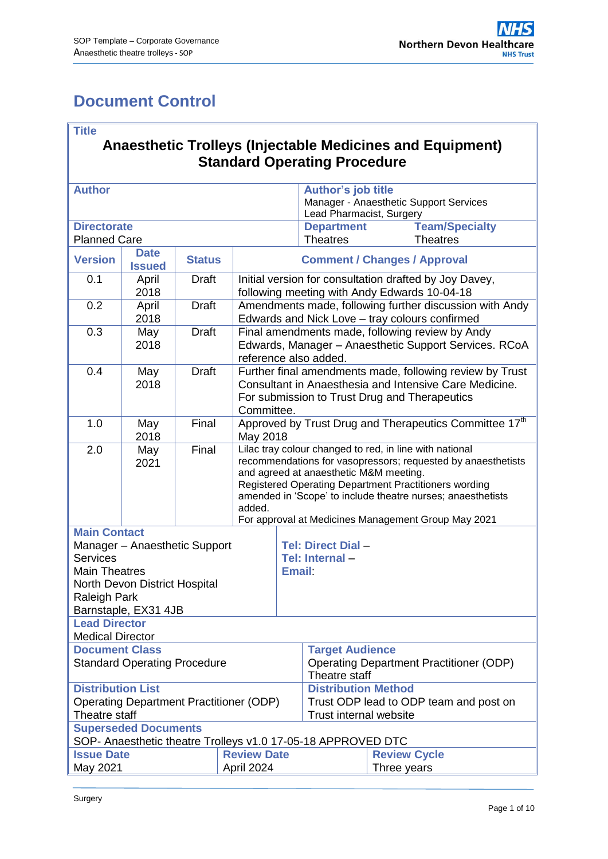## <span id="page-0-0"></span>**Document Control**

|--|

#### **Anaesthetic Trolleys (Injectable Medicines and Equipment) Standard Operating Procedure**

| <b>Author</b>                                                                                                                                                            |                              |               |                                                                                                                                                                                                                                                                                                                                                            | <b>Author's job title</b><br>Manager - Anaesthetic Support Services<br>Lead Pharmacist, Surgery       |                                     |                                          |  |
|--------------------------------------------------------------------------------------------------------------------------------------------------------------------------|------------------------------|---------------|------------------------------------------------------------------------------------------------------------------------------------------------------------------------------------------------------------------------------------------------------------------------------------------------------------------------------------------------------------|-------------------------------------------------------------------------------------------------------|-------------------------------------|------------------------------------------|--|
| <b>Directorate</b><br><b>Planned Care</b>                                                                                                                                |                              |               |                                                                                                                                                                                                                                                                                                                                                            | <b>Department</b><br><b>Theatres</b>                                                                  |                                     | <b>Team/Specialty</b><br><b>Theatres</b> |  |
| <b>Version</b>                                                                                                                                                           | <b>Date</b><br><b>Issued</b> | <b>Status</b> |                                                                                                                                                                                                                                                                                                                                                            |                                                                                                       | <b>Comment / Changes / Approval</b> |                                          |  |
| 0.1                                                                                                                                                                      | April<br>2018                | <b>Draft</b>  | Initial version for consultation drafted by Joy Davey,<br>following meeting with Andy Edwards 10-04-18                                                                                                                                                                                                                                                     |                                                                                                       |                                     |                                          |  |
| 0.2                                                                                                                                                                      | April<br>2018                | <b>Draft</b>  | Amendments made, following further discussion with Andy<br>Edwards and Nick Love - tray colours confirmed                                                                                                                                                                                                                                                  |                                                                                                       |                                     |                                          |  |
| 0.3                                                                                                                                                                      | May<br>2018                  | <b>Draft</b>  | Final amendments made, following review by Andy<br>Edwards, Manager - Anaesthetic Support Services. RCoA<br>reference also added.                                                                                                                                                                                                                          |                                                                                                       |                                     |                                          |  |
| 0.4                                                                                                                                                                      | May<br>2018                  | <b>Draft</b>  | Further final amendments made, following review by Trust<br>Consultant in Anaesthesia and Intensive Care Medicine.<br>For submission to Trust Drug and Therapeutics<br>Committee.                                                                                                                                                                          |                                                                                                       |                                     |                                          |  |
| 1.0                                                                                                                                                                      | May<br>2018                  | Final         | Approved by Trust Drug and Therapeutics Committee 17 <sup>th</sup><br>May 2018                                                                                                                                                                                                                                                                             |                                                                                                       |                                     |                                          |  |
| 2.0                                                                                                                                                                      | May<br>2021                  | Final         | Lilac tray colour changed to red, in line with national<br>recommendations for vasopressors; requested by anaesthetists<br>and agreed at anaesthetic M&M meeting.<br>Registered Operating Department Practitioners wording<br>amended in 'Scope' to include theatre nurses; anaesthetists<br>added.<br>For approval at Medicines Management Group May 2021 |                                                                                                       |                                     |                                          |  |
| <b>Main Contact</b><br>Manager - Anaesthetic Support<br><b>Services</b><br><b>Main Theatres</b><br>North Devon District Hospital<br>Raleigh Park<br>Barnstaple, EX31 4JB |                              |               |                                                                                                                                                                                                                                                                                                                                                            | <b>Tel: Direct Dial -</b><br>Tel: Internal-<br><b>Email:</b>                                          |                                     |                                          |  |
| <b>Lead Director</b><br><b>Medical Director</b>                                                                                                                          |                              |               |                                                                                                                                                                                                                                                                                                                                                            |                                                                                                       |                                     |                                          |  |
| <b>Document Class</b><br><b>Standard Operating Procedure</b>                                                                                                             |                              |               |                                                                                                                                                                                                                                                                                                                                                            | <b>Target Audience</b><br><b>Operating Department Practitioner (ODP)</b><br>Theatre staff             |                                     |                                          |  |
| <b>Distribution List</b><br><b>Operating Department Practitioner (ODP)</b><br>Theatre staff                                                                              |                              |               |                                                                                                                                                                                                                                                                                                                                                            | <b>Distribution Method</b><br>Trust ODP lead to ODP team and post on<br><b>Trust internal website</b> |                                     |                                          |  |
| <b>Superseded Documents</b><br>SOP- Anaesthetic theatre Trolleys v1.0 17-05-18 APPROVED DTC                                                                              |                              |               |                                                                                                                                                                                                                                                                                                                                                            |                                                                                                       |                                     |                                          |  |
| <b>Review Date</b><br><b>Issue Date</b><br>May 2021<br>April 2024                                                                                                        |                              |               |                                                                                                                                                                                                                                                                                                                                                            |                                                                                                       | <b>Review Cycle</b><br>Three years  |                                          |  |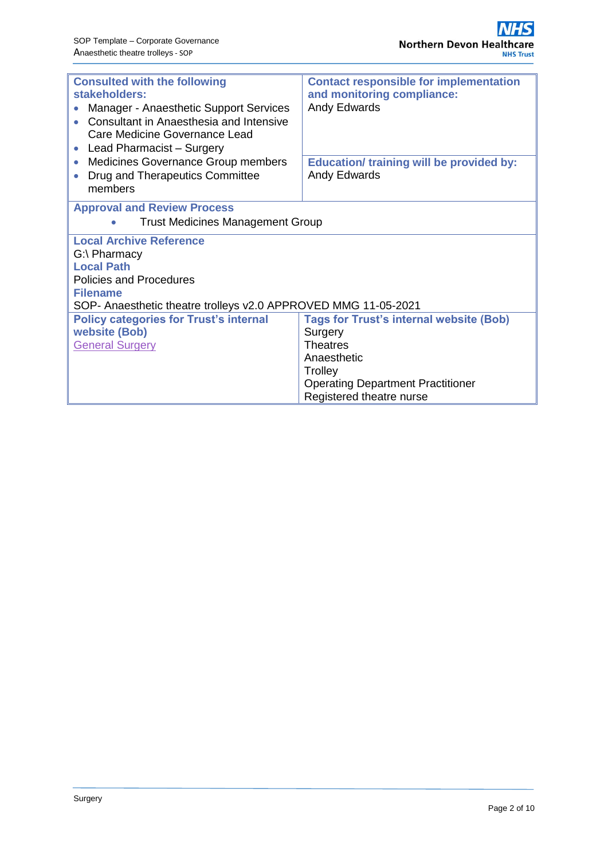| <b>Consulted with the following</b><br>stakeholders:<br>Manager - Anaesthetic Support Services<br>$\bullet$<br>Consultant in Anaesthesia and Intensive<br>Care Medicine Governance Lead<br>Lead Pharmacist - Surgery<br>$\bullet$ | <b>Contact responsible for implementation</b><br>and monitoring compliance:<br>Andy Edwards                                                                                    |
|-----------------------------------------------------------------------------------------------------------------------------------------------------------------------------------------------------------------------------------|--------------------------------------------------------------------------------------------------------------------------------------------------------------------------------|
| Medicines Governance Group members<br>$\bullet$<br>Drug and Therapeutics Committee<br>$\bullet$<br>members                                                                                                                        | <b>Education/ training will be provided by:</b><br>Andy Edwards                                                                                                                |
| <b>Approval and Review Process</b><br><b>Trust Medicines Management Group</b>                                                                                                                                                     |                                                                                                                                                                                |
| <b>Local Archive Reference</b><br>G:\ Pharmacy<br><b>Local Path</b><br>Policies and Procedures<br><b>Filename</b><br>SOP- Anaesthetic theatre trolleys v2.0 APPROVED MMG 11-05-2021                                               |                                                                                                                                                                                |
| <b>Policy categories for Trust's internal</b><br><b>website (Bob)</b><br><b>General Surgery</b>                                                                                                                                   | <b>Tags for Trust's internal website (Bob)</b><br>Surgery<br><b>Theatres</b><br>Anaesthetic<br>Trolley<br><b>Operating Department Practitioner</b><br>Registered theatre nurse |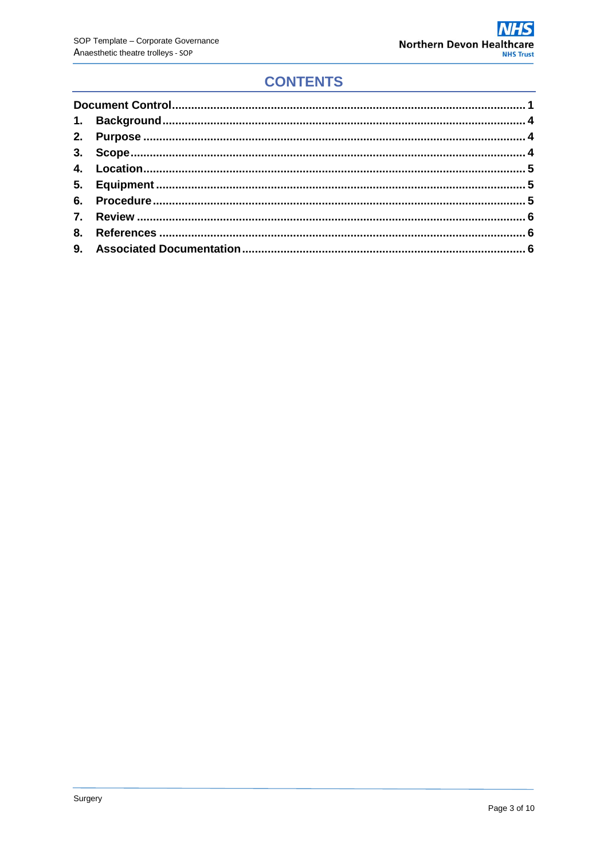## **CONTENTS**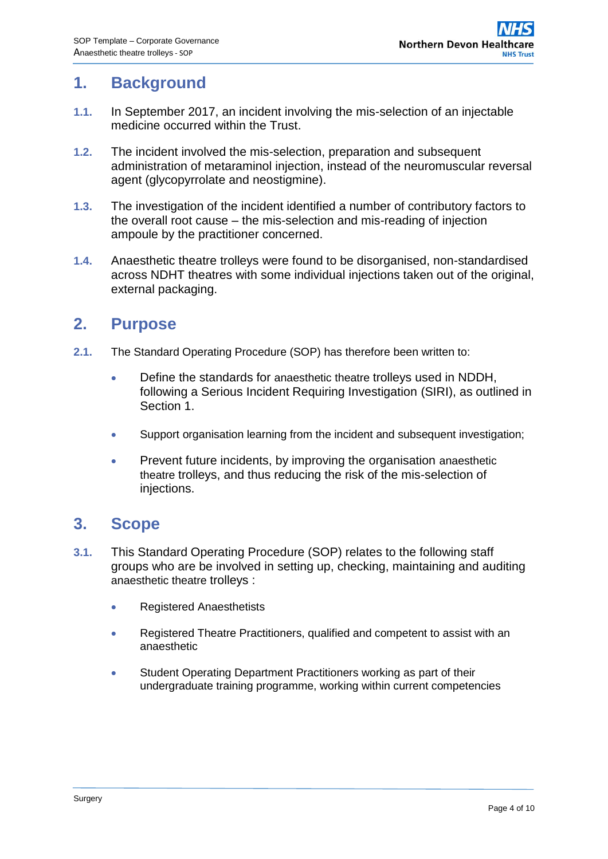### <span id="page-3-0"></span>**1. Background**

- **1.1.** In September 2017, an incident involving the mis-selection of an injectable medicine occurred within the Trust.
- **1.2.** The incident involved the mis-selection, preparation and subsequent administration of metaraminol injection, instead of the neuromuscular reversal agent (glycopyrrolate and neostigmine).
- **1.3.** The investigation of the incident identified a number of contributory factors to the overall root cause – the mis-selection and mis-reading of injection ampoule by the practitioner concerned.
- **1.4.** Anaesthetic theatre trolleys were found to be disorganised, non-standardised across NDHT theatres with some individual injections taken out of the original, external packaging.

#### <span id="page-3-1"></span>**2. Purpose**

- **2.1.** The Standard Operating Procedure (SOP) has therefore been written to:
	- Define the standards for anaesthetic theatre trolleys used in NDDH, following a Serious Incident Requiring Investigation (SIRI), as outlined in Section 1.
	- Support organisation learning from the incident and subsequent investigation;
	- Prevent future incidents, by improving the organisation anaesthetic theatre trolleys, and thus reducing the risk of the mis-selection of injections.

#### <span id="page-3-2"></span>**3. Scope**

- **3.1.** This Standard Operating Procedure (SOP) relates to the following staff groups who are be involved in setting up, checking, maintaining and auditing anaesthetic theatre trolleys :
	- Registered Anaesthetists
	- Registered Theatre Practitioners, qualified and competent to assist with an anaesthetic
	- Student Operating Department Practitioners working as part of their undergraduate training programme, working within current competencies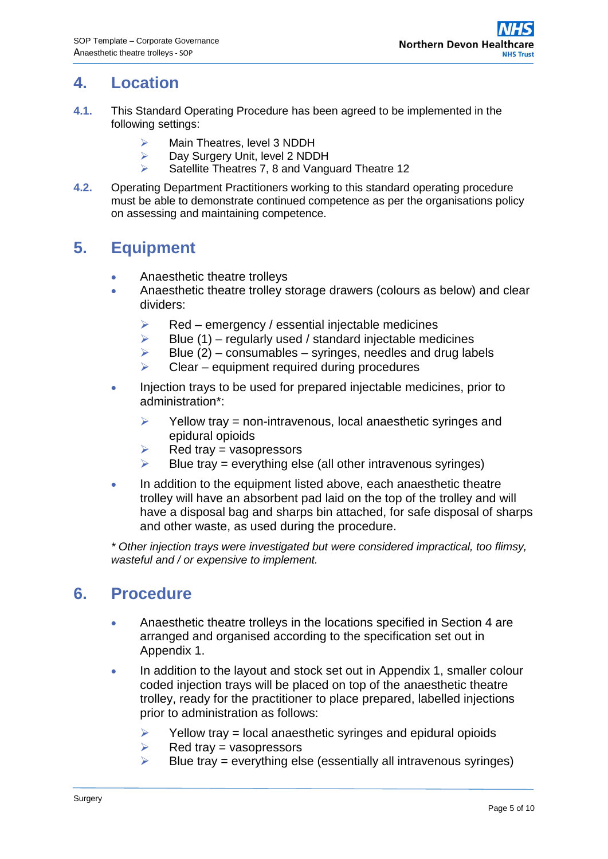### <span id="page-4-0"></span>**4. Location**

- **4.1.** This Standard Operating Procedure has been agreed to be implemented in the following settings:
	- > Main Theatres, level 3 NDDH
	- ▶ Day Surgery Unit, level 2 NDDH
	- $\triangleright$  Satellite Theatres 7, 8 and Vanguard Theatre 12
- **4.2.** Operating Department Practitioners working to this standard operating procedure must be able to demonstrate continued competence as per the organisations policy on assessing and maintaining competence.

## <span id="page-4-1"></span>**5. Equipment**

- Anaesthetic theatre trolleys
- Anaesthetic theatre trolley storage drawers (colours as below) and clear dividers:
	- $\triangleright$  Red emergency / essential injectable medicines
	- $\triangleright$  Blue (1) regularly used / standard injectable medicines
	- $\triangleright$  Blue (2) consumables syringes, needles and drug labels
	- $\triangleright$  Clear equipment required during procedures
- Injection trays to be used for prepared injectable medicines, prior to administration\*:
	- $\triangleright$  Yellow tray = non-intravenous, local anaesthetic syringes and epidural opioids
	- $\triangleright$  Red trav = vasopressors
	- $\triangleright$  Blue tray = everything else (all other intravenous syringes)
- In addition to the equipment listed above, each anaesthetic theatre trolley will have an absorbent pad laid on the top of the trolley and will have a disposal bag and sharps bin attached, for safe disposal of sharps and other waste, as used during the procedure.

*\* Other injection trays were investigated but were considered impractical, too flimsy, wasteful and / or expensive to implement.*

### <span id="page-4-2"></span>**6. Procedure**

- Anaesthetic theatre trolleys in the locations specified in Section 4 are arranged and organised according to the specification set out in Appendix 1.
- In addition to the layout and stock set out in Appendix 1, smaller colour coded injection trays will be placed on top of the anaesthetic theatre trolley, ready for the practitioner to place prepared, labelled injections prior to administration as follows:
	- $\triangleright$  Yellow tray = local anaesthetic syringes and epidural opioids
	- $\triangleright$  Red trav = vasopressors
	- $\triangleright$  Blue tray = everything else (essentially all intravenous syringes)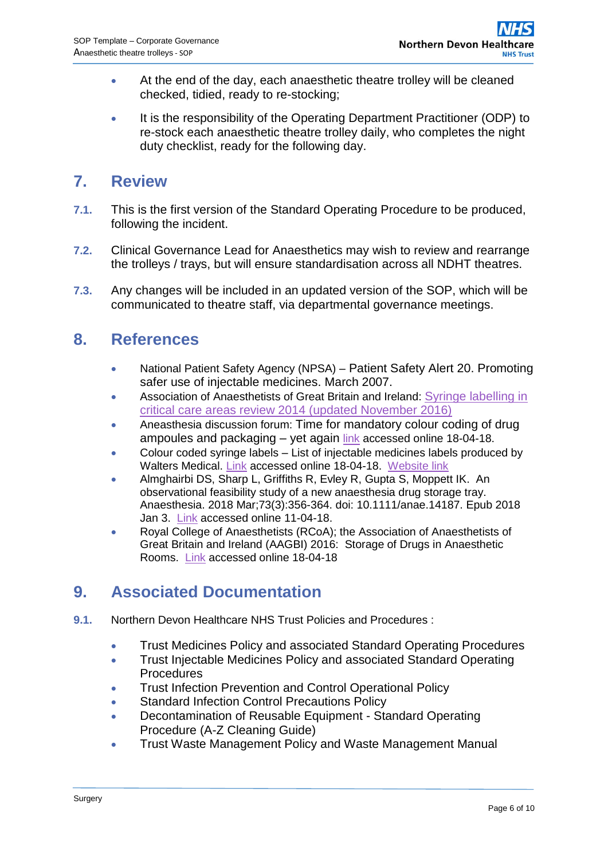- At the end of the day, each anaesthetic theatre trolley will be cleaned checked, tidied, ready to re-stocking;
- It is the responsibility of the Operating Department Practitioner (ODP) to re-stock each anaesthetic theatre trolley daily, who completes the night duty checklist, ready for the following day.

#### <span id="page-5-0"></span>**7. Review**

- **7.1.** This is the first version of the Standard Operating Procedure to be produced, following the incident.
- **7.2.** Clinical Governance Lead for Anaesthetics may wish to review and rearrange the trolleys / trays, but will ensure standardisation across all NDHT theatres.
- **7.3.** Any changes will be included in an updated version of the SOP, which will be communicated to theatre staff, via departmental governance meetings.

#### <span id="page-5-1"></span>**8. References**

- National Patient Safety Agency (NPSA) Patient Safety Alert 20. Promoting safer use of injectable medicines. March 2007.
- Association of Anaesthetists of Great Britain and Ireland: [Syringe labelling in](https://www.aagbi.org/sites/default/files/SYRINGE_LABELLING_2014_updated_20November_2016_0.pdf)  [critical care areas review 2014 \(updated November 2016\)](https://www.aagbi.org/sites/default/files/SYRINGE_LABELLING_2014_updated_20November_2016_0.pdf)
- Aneasthesia discussion forum: Time for mandatory colour coding of drug ampoules and packaging - yet again [link](http://www.respond2articles.com/ANA/forums/1828/ShowThread.aspx) accessed online 18-04-18.
- Colour coded syringe labels List of injectable medicines labels produced by Walters Medical. [Link](http://www.waltersmedical.co.uk/uploads/u29108/File/wm_label_order_form_-_lof.v2.1112_web.pdf) accessed online 18-04-18. [Website link](http://www.waltersmedical.co.uk/medical-labels/syringe-labels-b202412.html#?i=202412&filter=null&subs=null&p=1&tmp=b9t5avqjnd9qtr616kk14ftna0_1514222709_nsd6rzgzt5v)
- [Almghairbi DS,](https://www.ncbi.nlm.nih.gov/pubmed/?term=Almghairbi%20DS%5BAuthor%5D&cauthor=true&cauthor_uid=29437211) [Sharp L,](https://www.ncbi.nlm.nih.gov/pubmed/?term=Sharp%20L%5BAuthor%5D&cauthor=true&cauthor_uid=29437211) Griffiths R, [Evley R,](https://www.ncbi.nlm.nih.gov/pubmed/?term=Evley%20R%5BAuthor%5D&cauthor=true&cauthor_uid=29437211) [Gupta S,](https://www.ncbi.nlm.nih.gov/pubmed/?term=Gupta%20S%5BAuthor%5D&cauthor=true&cauthor_uid=29437211) [Moppett IK.](https://www.ncbi.nlm.nih.gov/pubmed/?term=Moppett%20IK%5BAuthor%5D&cauthor=true&cauthor_uid=29437211) An observational feasibility study of a new anaesthesia drug storage tray. [Anaesthesia.](https://www.ncbi.nlm.nih.gov/pubmed/29437211) 2018 Mar;73(3):356-364. doi: 10.1111/anae.14187. Epub 2018 Jan 3. [Link](https://www.ncbi.nlm.nih.gov/pubmed/29437211) accessed online 11-04-18.
- Royal College of Anaesthetists (RCoA); the Association of Anaesthetists of Great Britain and Ireland (AAGBI) 2016: Storage of Drugs in Anaesthetic Rooms. [Link](https://www.rcoa.ac.uk/system/files/StorageDrugs2016.pdf) accessed online 18-04-18

## <span id="page-5-2"></span>**9. Associated Documentation**

- **9.1.** Northern Devon Healthcare NHS Trust Policies and Procedures :
	- **•** Trust Medicines Policy and associated Standard Operating Procedures
	- **Trust Injectable Medicines Policy and associated Standard Operating Procedures**
	- **Trust Infection Prevention and Control Operational Policy**
	- **Standard Infection Control Precautions Policy**
	- Decontamination of Reusable Equipment Standard Operating Procedure (A-Z Cleaning Guide)
	- Trust Waste Management Policy and Waste Management Manual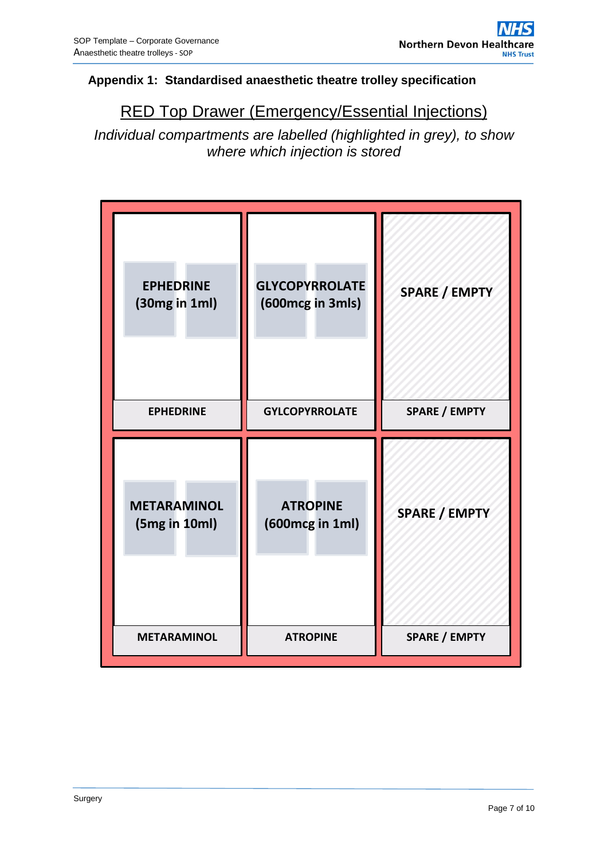#### **Appendix 1: Standardised anaesthetic theatre trolley specification**

## RED Top Drawer (Emergency/Essential Injections)

*Individual compartments are labelled (highlighted in grey), to show where which injection is stored*

| <b>EPHEDRINE</b><br>(30mg in 1ml)<br><b>EPHEDRINE</b> | <b>GLYCOPYRROLATE</b><br>(600mcg in 3mls)<br><b>GYLCOPYRROLATE</b> | <b>SPARE / EMPTY</b><br><b>SPARE / EMPTY</b> |
|-------------------------------------------------------|--------------------------------------------------------------------|----------------------------------------------|
|                                                       |                                                                    |                                              |
| <b>METARAMINOL</b><br>(5mg in 10ml)                   | <b>ATROPINE</b><br>(600mcg in 1ml)                                 | <b>SPARE / EMPTY</b>                         |
| <b>METARAMINOL</b>                                    | <b>ATROPINE</b>                                                    | <b>SPARE / EMPTY</b>                         |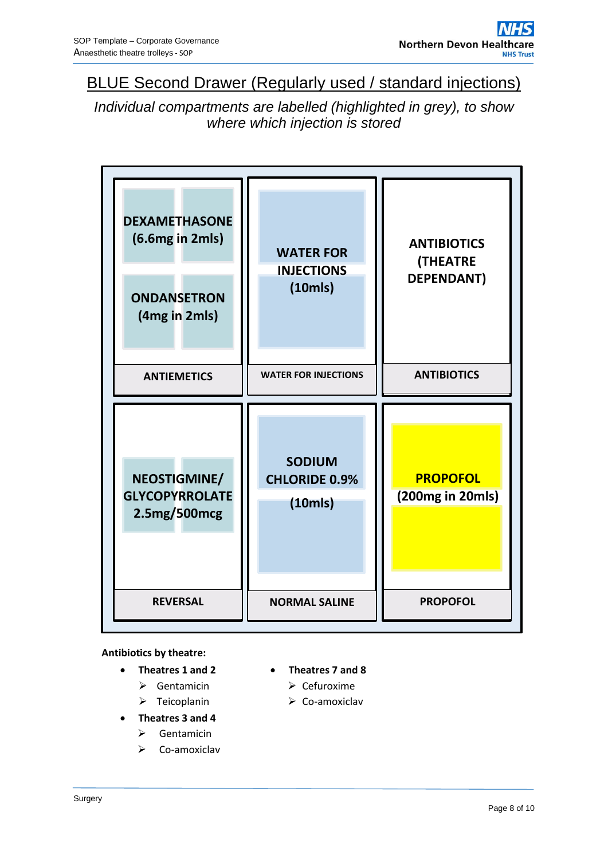### BLUE Second Drawer (Regularly used / standard injections)

*Individual compartments are labelled (highlighted in grey), to show where which injection is stored*



#### **Antibiotics by theatre:**

- **Theatres 1 and 2**
	- $\triangleright$  Gentamicin
	- $\triangleright$  Teicoplanin
- **Theatres 3 and 4**
	- Gentamicin
	- Co-amoxiclav
- **Theatres 7 and 8**
	- $\triangleright$  Cefuroxime
	- $\triangleright$  Co-amoxiclav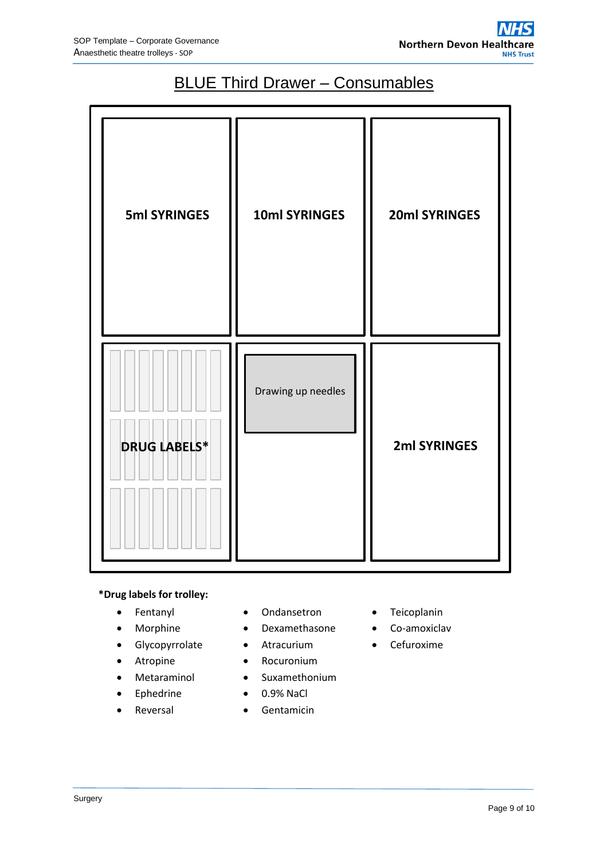# **BLUE Third Drawer - Consumables**

| <b>5ml SYRINGES</b> | 10ml SYRINGES      | 20ml SYRINGES |
|---------------------|--------------------|---------------|
| <b>DRUG LABELS*</b> | Drawing up needles | 2ml SYRINGES  |

#### **\*Drug labels for trolley:**

- Fentanyl
- Morphine
- Glycopyrrolate
- Atropine
- Metaraminol
- Ephedrine
- Reversal
- Ondansetron
- Dexamethasone
- Atracurium
- Rocuronium
- Suxamethonium
- 0.9% NaCl
- **•** Gentamicin
- **•** Teicoplanin
- Co-amoxiclav
- Cefuroxime